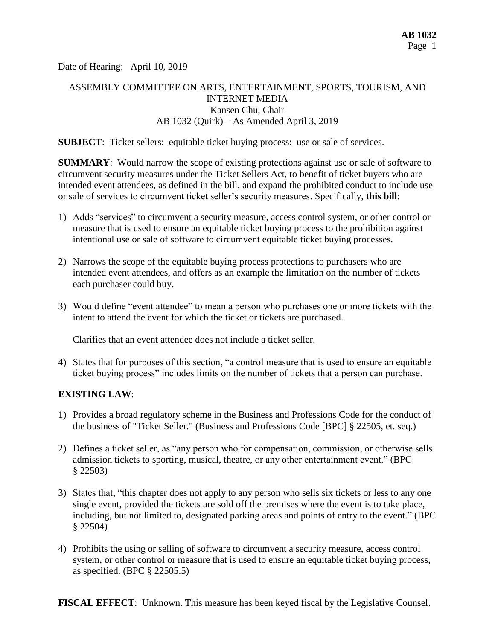Date of Hearing: April 10, 2019

# ASSEMBLY COMMITTEE ON ARTS, ENTERTAINMENT, SPORTS, TOURISM, AND INTERNET MEDIA Kansen Chu, Chair AB 1032 (Quirk) – As Amended April 3, 2019

**SUBJECT**: Ticket sellers: equitable ticket buying process: use or sale of services.

**SUMMARY:** Would narrow the scope of existing protections against use or sale of software to circumvent security measures under the Ticket Sellers Act, to benefit of ticket buyers who are intended event attendees, as defined in the bill, and expand the prohibited conduct to include use or sale of services to circumvent ticket seller's security measures. Specifically, **this bill**:

- 1) Adds "services" to circumvent a security measure, access control system, or other control or measure that is used to ensure an equitable ticket buying process to the prohibition against intentional use or sale of software to circumvent equitable ticket buying processes.
- 2) Narrows the scope of the equitable buying process protections to purchasers who are intended event attendees, and offers as an example the limitation on the number of tickets each purchaser could buy.
- 3) Would define "event attendee" to mean a person who purchases one or more tickets with the intent to attend the event for which the ticket or tickets are purchased.

Clarifies that an event attendee does not include a ticket seller.

4) States that for purposes of this section, "a control measure that is used to ensure an equitable ticket buying process" includes limits on the number of tickets that a person can purchase.

## **EXISTING LAW**:

- 1) Provides a broad regulatory scheme in the Business and Professions Code for the conduct of the business of "Ticket Seller." (Business and Professions Code [BPC] § 22505, et. seq.)
- 2) Defines a ticket seller, as "any person who for compensation, commission, or otherwise sells admission tickets to sporting, musical, theatre, or any other entertainment event." (BPC § 22503)
- 3) States that, "this chapter does not apply to any person who sells six tickets or less to any one single event, provided the tickets are sold off the premises where the event is to take place, including, but not limited to, designated parking areas and points of entry to the event." (BPC § 22504)
- 4) Prohibits the using or selling of software to circumvent a security measure, access control system, or other control or measure that is used to ensure an equitable ticket buying process, as specified. (BPC § 22505.5)

**FISCAL EFFECT**: Unknown. This measure has been keyed fiscal by the Legislative Counsel.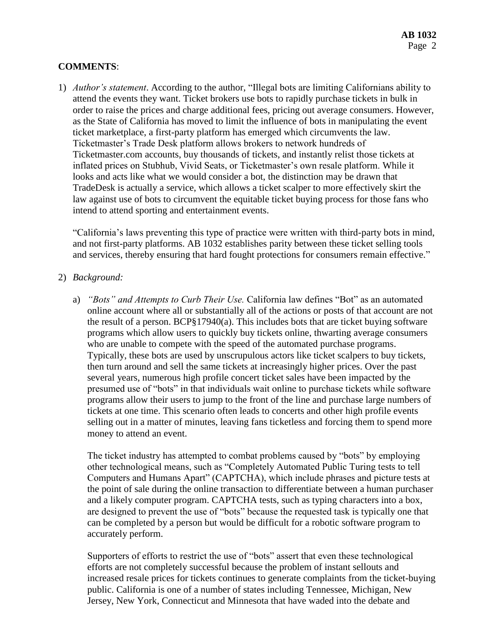## **COMMENTS**:

1) *Author's statement*. According to the author, "Illegal bots are limiting Californians ability to attend the events they want. Ticket brokers use bots to rapidly purchase tickets in bulk in order to raise the prices and charge additional fees, pricing out average consumers. However, as the State of California has moved to limit the influence of bots in manipulating the event ticket marketplace, a first-party platform has emerged which circumvents the law. Ticketmaster's Trade Desk platform allows brokers to network hundreds of Ticketmaster.com accounts, buy thousands of tickets, and instantly relist those tickets at inflated prices on Stubhub, Vivid Seats, or Ticketmaster's own resale platform. While it looks and acts like what we would consider a bot, the distinction may be drawn that TradeDesk is actually a service, which allows a ticket scalper to more effectively skirt the law against use of bots to circumvent the equitable ticket buying process for those fans who intend to attend sporting and entertainment events.

"California's laws preventing this type of practice were written with third-party bots in mind, and not first-party platforms. AB 1032 establishes parity between these ticket selling tools and services, thereby ensuring that hard fought protections for consumers remain effective."

#### 2) *Background:*

a) *"Bots" and Attempts to Curb Their Use.* California law defines "Bot" as an automated online account where all or substantially all of the actions or posts of that account are not the result of a person.  $BCP\$  $17940(a)$ . This includes bots that are ticket buying software programs which allow users to quickly buy tickets online, thwarting average consumers who are unable to compete with the speed of the automated purchase programs. Typically, these bots are used by unscrupulous actors like ticket scalpers to buy tickets, then turn around and sell the same tickets at increasingly higher prices. Over the past several years, numerous high profile concert ticket sales have been impacted by the presumed use of "bots" in that individuals wait online to purchase tickets while software programs allow their users to jump to the front of the line and purchase large numbers of tickets at one time. This scenario often leads to concerts and other high profile events selling out in a matter of minutes, leaving fans ticketless and forcing them to spend more money to attend an event.

The ticket industry has attempted to combat problems caused by "bots" by employing other technological means, such as "Completely Automated Public Turing tests to tell Computers and Humans Apart" (CAPTCHA), which include phrases and picture tests at the point of sale during the online transaction to differentiate between a human purchaser and a likely computer program. CAPTCHA tests, such as typing characters into a box, are designed to prevent the use of "bots" because the requested task is typically one that can be completed by a person but would be difficult for a robotic software program to accurately perform.

Supporters of efforts to restrict the use of "bots" assert that even these technological efforts are not completely successful because the problem of instant sellouts and increased resale prices for tickets continues to generate complaints from the ticket-buying public. California is one of a number of states including Tennessee, Michigan, New Jersey, New York, Connecticut and Minnesota that have waded into the debate and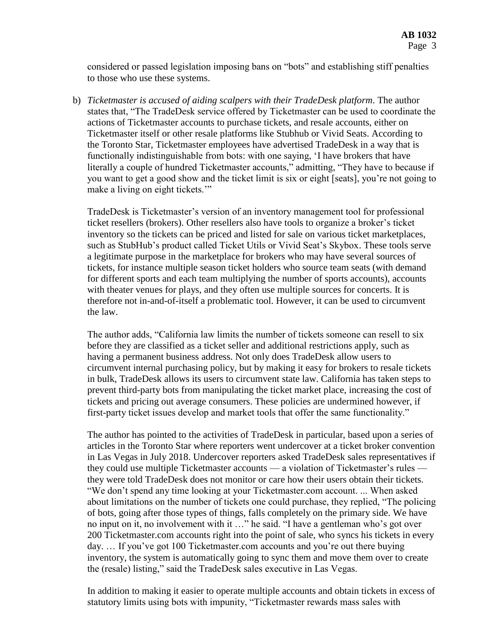considered or passed legislation imposing bans on "bots" and establishing stiff penalties to those who use these systems.

b) *Ticketmaster is accused of aiding scalpers with their TradeDesk platform*. The author states that, "The TradeDesk service offered by Ticketmaster can be used to coordinate the actions of Ticketmaster accounts to purchase tickets, and resale accounts, either on Ticketmaster itself or other resale platforms like Stubhub or Vivid Seats. According to the Toronto Star, Ticketmaster employees have advertised TradeDesk in a way that is functionally indistinguishable from bots: with one saying, 'I have brokers that have literally a couple of hundred Ticketmaster accounts," admitting, "They have to because if you want to get a good show and the ticket limit is six or eight [seats], you're not going to make a living on eight tickets."

TradeDesk is Ticketmaster's version of an inventory management tool for professional ticket resellers (brokers). Other resellers also have tools to organize a broker's ticket inventory so the tickets can be priced and listed for sale on various ticket marketplaces, such as StubHub's product called Ticket Utils or Vivid Seat's Skybox. These tools serve a legitimate purpose in the marketplace for brokers who may have several sources of tickets, for instance multiple season ticket holders who source team seats (with demand for different sports and each team multiplying the number of sports accounts), accounts with theater venues for plays, and they often use multiple sources for concerts. It is therefore not in-and-of-itself a problematic tool. However, it can be used to circumvent the law.

The author adds, "California law limits the number of tickets someone can resell to six before they are classified as a ticket seller and additional restrictions apply, such as having a permanent business address. Not only does TradeDesk allow users to circumvent internal purchasing policy, but by making it easy for brokers to resale tickets in bulk, TradeDesk allows its users to circumvent state law. California has taken steps to prevent third-party bots from manipulating the ticket market place, increasing the cost of tickets and pricing out average consumers. These policies are undermined however, if first-party ticket issues develop and market tools that offer the same functionality."

The author has pointed to the activities of TradeDesk in particular, based upon a series of articles in the Toronto Star where reporters went undercover at a ticket broker convention in Las Vegas in July 2018. Undercover reporters asked TradeDesk sales representatives if they could use multiple Ticketmaster accounts — a violation of Ticketmaster's rules they were told TradeDesk does not monitor or care how their users obtain their tickets. "We don't spend any time looking at your Ticketmaster.com account. ... When asked about limitations on the number of tickets one could purchase, they replied, "The policing of bots, going after those types of things, falls completely on the primary side. We have no input on it, no involvement with it …" he said. "I have a gentleman who's got over 200 Ticketmaster.com accounts right into the point of sale, who syncs his tickets in every day. … If you've got 100 Ticketmaster.com accounts and you're out there buying inventory, the system is automatically going to sync them and move them over to create the (resale) listing," said the TradeDesk sales executive in Las Vegas.

In addition to making it easier to operate multiple accounts and obtain tickets in excess of statutory limits using bots with impunity, "Ticketmaster rewards mass sales with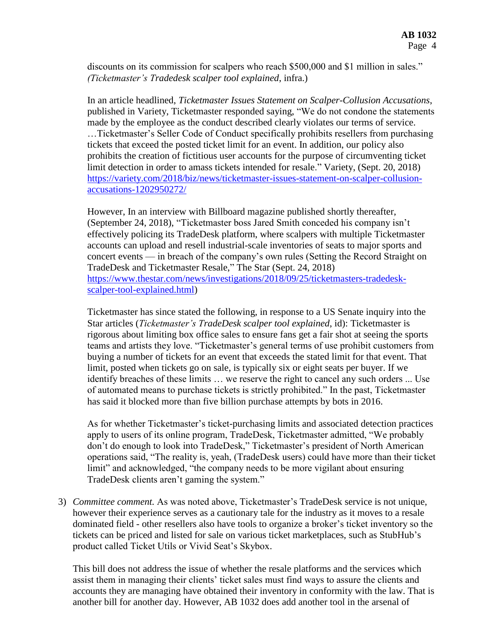discounts on its commission for scalpers who reach \$500,000 and \$1 million in sales." *(Ticketmaster's Tradedesk scalper tool explained*, infra.)

In an article headlined, *Ticketmaster Issues Statement on Scalper-Collusion Accusations*, published in Variety, Ticketmaster responded saying, "We do not condone the statements made by the employee as the conduct described clearly violates our terms of service. …Ticketmaster's Seller Code of Conduct specifically prohibits resellers from purchasing tickets that exceed the posted ticket limit for an event. In addition, our policy also prohibits the creation of fictitious user accounts for the purpose of circumventing ticket limit detection in order to amass tickets intended for resale." Variety, (Sept. 20, 2018) [https://variety.com/2018/biz/news/ticketmaster-issues-statement-on-scalper-collusion](https://variety.com/2018/biz/news/ticketmaster-issues-statement-on-scalper-collusion-accusations-1202950272/)[accusations-1202950272/](https://variety.com/2018/biz/news/ticketmaster-issues-statement-on-scalper-collusion-accusations-1202950272/)

However, In an interview with Billboard magazine published shortly thereafter, (September 24, 2018), "Ticketmaster boss Jared Smith conceded his company isn't effectively policing its TradeDesk platform, where scalpers with multiple Ticketmaster accounts can upload and resell industrial-scale inventories of seats to major sports and concert events — in breach of the company's own rules (Setting the Record Straight on TradeDesk and Ticketmaster Resale," The Star (Sept. 24, 2018) [https://www.thestar.com/news/investigations/2018/09/25/ticketmasters-tradedesk](https://www.thestar.com/news/investigations/2018/09/25/ticketmasters-tradedesk-scalper-tool-explained.html)[scalper-tool-explained.html\)](https://www.thestar.com/news/investigations/2018/09/25/ticketmasters-tradedesk-scalper-tool-explained.html)

Ticketmaster has since stated the following, in response to a US Senate inquiry into the Star articles (*Ticketmaster's TradeDesk scalper tool explained*, id): Ticketmaster is rigorous about limiting box office sales to ensure fans get a fair shot at seeing the sports teams and artists they love. "Ticketmaster's general terms of use prohibit customers from buying a number of tickets for an event that exceeds the stated limit for that event. That limit, posted when tickets go on sale, is typically six or eight seats per buyer. If we identify breaches of these limits … we reserve the right to cancel any such orders ... Use of automated means to purchase tickets is strictly prohibited." In the past, Ticketmaster has said it blocked more than five billion purchase attempts by bots in 2016.

As for whether Ticketmaster's ticket-purchasing limits and associated detection practices apply to users of its online program, TradeDesk, Ticketmaster admitted, "We probably don't do enough to look into TradeDesk," Ticketmaster's president of North American operations said, "The reality is, yeah, (TradeDesk users) could have more than their ticket limit" and acknowledged, "the company needs to be more vigilant about ensuring TradeDesk clients aren't gaming the system."

3) *Committee comment.* As was noted above, Ticketmaster's TradeDesk service is not unique, however their experience serves as a cautionary tale for the industry as it moves to a resale dominated field - other resellers also have tools to organize a broker's ticket inventory so the tickets can be priced and listed for sale on various ticket marketplaces, such as StubHub's product called Ticket Utils or Vivid Seat's Skybox.

This bill does not address the issue of whether the resale platforms and the services which assist them in managing their clients' ticket sales must find ways to assure the clients and accounts they are managing have obtained their inventory in conformity with the law. That is another bill for another day. However, AB 1032 does add another tool in the arsenal of